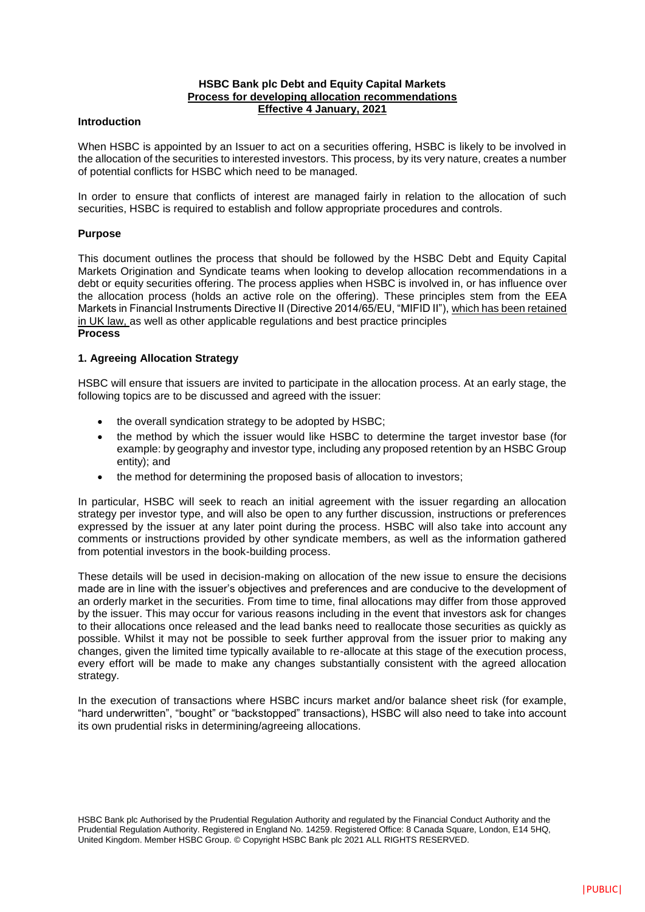## **HSBC Bank plc Debt and Equity Capital Markets Process for developing allocation recommendations Effective 4 January, 2021**

#### **Introduction**

When HSBC is appointed by an Issuer to act on a securities offering, HSBC is likely to be involved in the allocation of the securities to interested investors. This process, by its very nature, creates a number of potential conflicts for HSBC which need to be managed.

In order to ensure that conflicts of interest are managed fairly in relation to the allocation of such securities, HSBC is required to establish and follow appropriate procedures and controls.

#### **Purpose**

This document outlines the process that should be followed by the HSBC Debt and Equity Capital Markets Origination and Syndicate teams when looking to develop allocation recommendations in a debt or equity securities offering. The process applies when HSBC is involved in, or has influence over the allocation process (holds an active role on the offering). These principles stem from the EEA Markets in Financial Instruments Directive II (Directive 2014/65/EU, "MIFID II"), which has been retained in UK law, as well as other applicable regulations and best practice principles **Process** 

## **1. Agreeing Allocation Strategy**

HSBC will ensure that issuers are invited to participate in the allocation process. At an early stage, the following topics are to be discussed and agreed with the issuer:

- the overall syndication strategy to be adopted by HSBC;
- the method by which the issuer would like HSBC to determine the target investor base (for example: by geography and investor type, including any proposed retention by an HSBC Group entity); and
- the method for determining the proposed basis of allocation to investors;

In particular, HSBC will seek to reach an initial agreement with the issuer regarding an allocation strategy per investor type, and will also be open to any further discussion, instructions or preferences expressed by the issuer at any later point during the process. HSBC will also take into account any comments or instructions provided by other syndicate members, as well as the information gathered from potential investors in the book-building process.

These details will be used in decision-making on allocation of the new issue to ensure the decisions made are in line with the issuer's objectives and preferences and are conducive to the development of an orderly market in the securities. From time to time, final allocations may differ from those approved by the issuer. This may occur for various reasons including in the event that investors ask for changes to their allocations once released and the lead banks need to reallocate those securities as quickly as possible. Whilst it may not be possible to seek further approval from the issuer prior to making any changes, given the limited time typically available to re-allocate at this stage of the execution process, every effort will be made to make any changes substantially consistent with the agreed allocation strategy.

In the execution of transactions where HSBC incurs market and/or balance sheet risk (for example, "hard underwritten", "bought" or "backstopped" transactions), HSBC will also need to take into account its own prudential risks in determining/agreeing allocations.

HSBC Bank plc Authorised by the Prudential Regulation Authority and regulated by the Financial Conduct Authority and the Prudential Regulation Authority. Registered in England No. 14259. Registered Office: 8 Canada Square, London, E14 5HQ, United Kingdom. Member HSBC Group. © Copyright HSBC Bank plc 2021 ALL RIGHTS RESERVED.